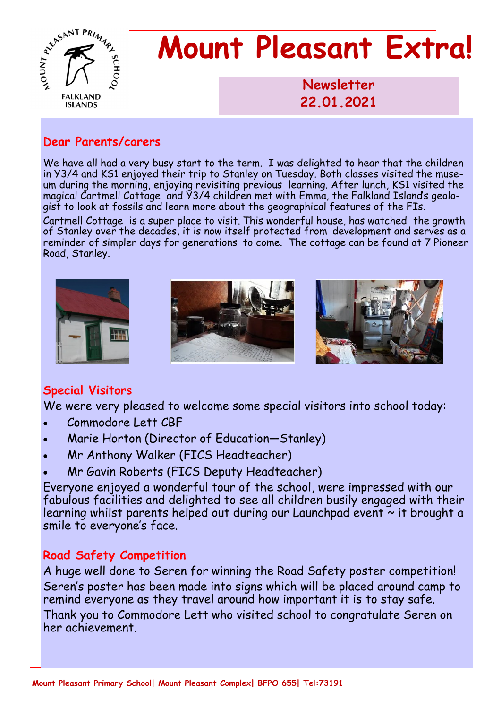

# **Mount Pleasant Extra!**

**Newsletter 1986 22.01.2021** 

#### **Dear Parents/carers**

We have all had a very busy start to the term. I was delighted to hear that the children in Y3/4 and KS1 enjoyed their trip to Stanley on Tuesday. Both classes visited the museum during the morning, enjoying revisiting previous learning. After lunch, KS1 visited the magical Cartmell Cottage and Y3/4 children met with Emma, the Falkland Island's geologist to look at fossils and learn more about the geographical features of the FIs.

Cartmell Cottage is a super place to visit. This wonderful house, has watched the growth of Stanley over the decades, it is now itself protected from development and serves as a reminder of simpler days for generations to come. The cottage can be found at 7 Pioneer Road, Stanley.



## **Special Visitors**

We were very pleased to welcome some special visitors into school today:

- Commodore Lett CBF
- Marie Horton (Director of Education—Stanley)
- Mr Anthony Walker (FICS Headteacher)
- Mr Gavin Roberts (FICS Deputy Headteacher)

Everyone enjoyed a wonderful tour of the school, were impressed with our fabulous facilities and delighted to see all children busily engaged with their learning whilst parents helped out during our Launchpad event ~ it brought a smile to everyone's face.

## **Road Safety Competition**

A huge well done to Seren for winning the Road Safety poster competition! Seren's poster has been made into signs which will be placed around camp to remind everyone as they travel around how important it is to stay safe. Thank you to Commodore Lett who visited school to congratulate Seren on her achievement.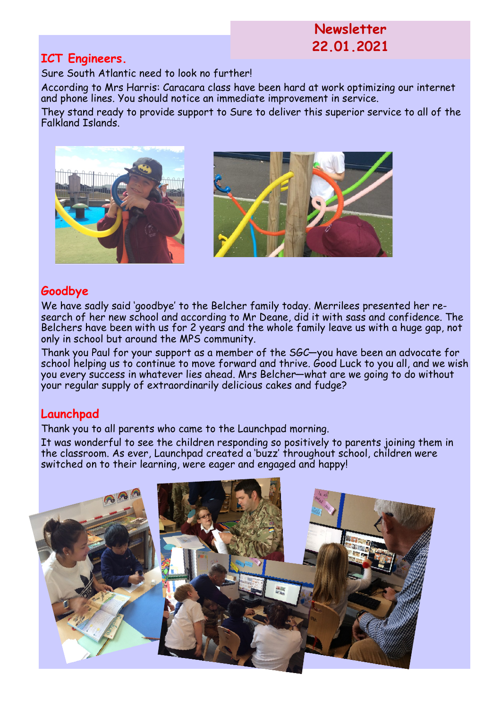# **Newsletter 22.01.2021**

#### **ICT Engineers.**

Sure South Atlantic need to look no further!

According to Mrs Harris: Caracara class have been hard at work optimizing our internet and phone lines. You should notice an immediate improvement in service.

They stand ready to provide support to Sure to deliver this superior service to all of the Falkland Islands.



### **Goodbye**

We have sadly said 'goodbye' to the Belcher family today. Merrilees presented her research of her new school and according to Mr Deane, did it with sass and confidence. The Belchers have been with us for 2 years and the whole family leave us with a huge gap, not only in school but around the MPS community.

Thank you Paul for your support as a member of the SGC—you have been an advocate for school helping us to continue to move forward and thrive. Good Luck to you all, and we wish you every success in whatever lies ahead. Mrs Belcher—what are we going to do without your regular supply of extraordinarily delicious cakes and fudge?

# **Launchpad**

Thank you to all parents who came to the Launchpad morning.

It was wonderful to see the children responding so positively to parents joining them in the classroom. As ever, Launchpad created a 'buzz' throughout school, children were switched on to their learning, were eager and engaged and happy!

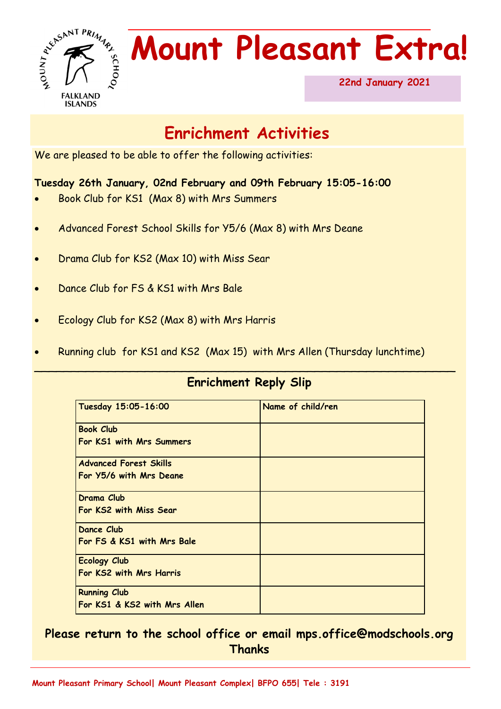

# **Mount Pleasant Extra!**

**22nd January 2021** 

# **Enrichment Activities**

We are pleased to be able to offer the following activities:

#### **Tuesday 26th January, 02nd February and 09th February 15:05-16:00**

- Book Club for KS1 (Max 8) with Mrs Summers
- Advanced Forest School Skills for Y5/6 (Max 8) with Mrs Deane
- Drama Club for KS2 (Max 10) with Miss Sear
- Dance Club for FS & KS1 with Mrs Bale
- Ecology Club for KS2 (Max 8) with Mrs Harris
- Running club for KS1 and KS2 (Max 15) with Mrs Allen (Thursday lunchtime)

## **Enrichment Reply Slip**

\_\_\_\_\_\_\_\_\_\_\_\_\_\_\_\_\_\_\_\_\_\_\_\_\_\_\_\_\_\_\_\_\_\_\_\_\_\_\_\_\_\_\_\_\_\_\_\_\_\_\_\_\_\_\_\_\_

| Tuesday 15:05-16:00           | Name of child/ren |
|-------------------------------|-------------------|
| <b>Book Club</b>              |                   |
| For KS1 with Mrs Summers      |                   |
| <b>Advanced Forest Skills</b> |                   |
| For Y5/6 with Mrs Deane       |                   |
| Drama Club                    |                   |
| For KS2 with Miss Sear        |                   |
| Dance Club                    |                   |
| For FS & KS1 with Mrs Bale    |                   |
| <b>Ecology Club</b>           |                   |
| For KS2 with Mrs Harris       |                   |
| <b>Running Club</b>           |                   |
| For KS1 & KS2 with Mrs Allen  |                   |

## **Please return to the school office or email mps.office@modschools.org Thanks**